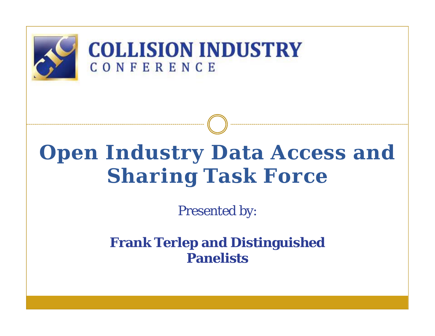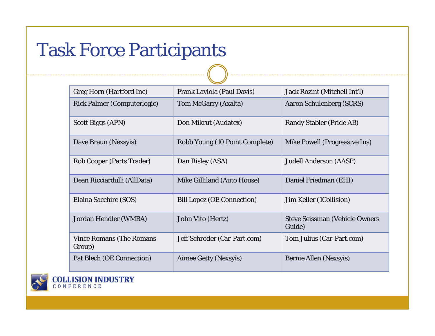# Task Force Participants

| <b>Greg Horn (Hartford Inc)</b>           | Frank Laviola (Paul Davis)        | Jack Rozint (Mitchell Int'l)                    |
|-------------------------------------------|-----------------------------------|-------------------------------------------------|
| <b>Rick Palmer (Computerlogic)</b>        | <b>Tom McGarry (Axalta)</b>       | <b>Aaron Schulenberg (SCRS)</b>                 |
| <b>Scott Biggs (APN)</b>                  | Don Mikrut (Audatex)              | <b>Randy Stabler (Pride AB)</b>                 |
| Dave Braun (Nexsyis)                      | Robb Young (10 Point Complete)    | Mike Powell (Progressive Ins)                   |
| <b>Rob Cooper (Parts Trader)</b>          | Dan Risley (ASA)                  | <b>Judell Anderson (AASP)</b>                   |
| Dean Ricciardulli (AllData)               | Mike Gilliland (Auto House)       | Daniel Friedman (EHI)                           |
| Elaina Sacchire (SOS)                     | <b>Bill Lopez (OE Connection)</b> | Jim Keller (1 Collision)                        |
| Jordan Hendler (WMBA)                     | John Vito (Hertz)                 | <b>Steve Seissman (Vehicle Owners</b><br>Guide) |
| <b>Vince Romans (The Romans</b><br>Group) | Jeff Schroder (Car-Part.com)      | Tom Julius (Car-Part.com)                       |
| <b>Pat Blech (OE Connection)</b>          | Aimee Getty (Nexsyis)             | <b>Bernie Allen (Nexsyis)</b>                   |



**COLLISION INDUSTRY**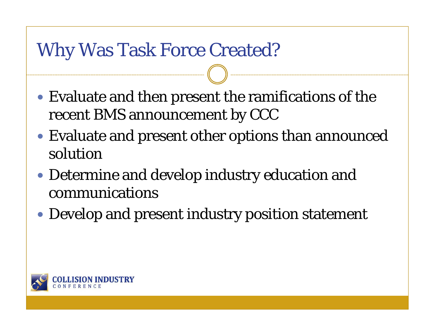## Why Was Task Force Created?

- Evaluate and then present the ramifications of the recent BMS announcement by CCC
- Evaluate and present other options than announced solution
- Determine and develop industry education and communications
- Develop and present industry position statement

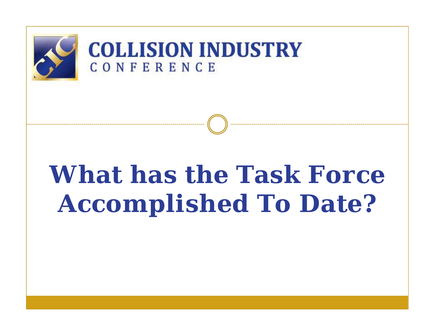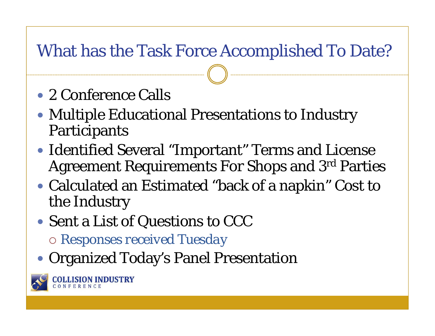#### What has the Task Force Accomplished To Date?

- 2 Conference Calls
- Multiple Educational Presentations to Industry Participants
- Identified Several "Important" Terms and License Agreement Requirements For Shops and 3rd Parties
- Calculated an Estimated "back of a napkin" Cost to the Industry
- Sent a List of Questions to CCC
	- *Responses received Tuesday*
- Organized Today's Panel Presentation



**JSION INDUSTRY**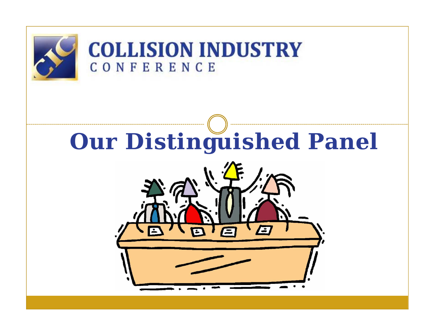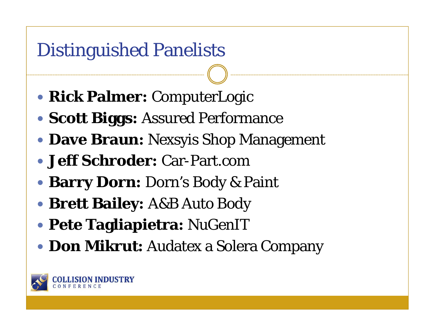## Distinguished Panelists

- **Rick Palmer:** ComputerLogic
- **Scott Biggs:** Assured Performance
- **Dave Braun:** Nexsyis Shop Management
- **Jeff Schroder:** Car-Part.com
- **Barry Dorn:** Dorn's Body & Paint
- **Brett Bailey:** A&B Auto Body
- **Pete Tagliapietra:** NuGenIT
- **Don Mikrut:** Audatex a Solera Company

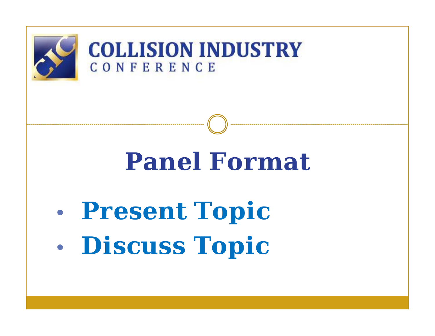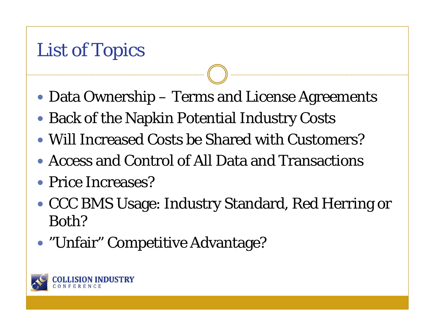# List of Topics

- Data Ownership Terms and License Agreements
- Back of the Napkin Potential Industry Costs
- Will Increased Costs be Shared with Customers?
- Access and Control of All Data and Transactions
- Price Increases?
- CCC BMS Usage: Industry Standard, Red Herring or Both?
- "Unfair" Competitive Advantage?

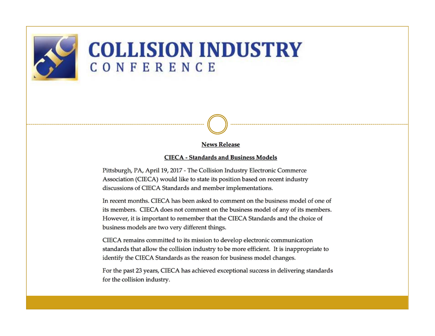

#### **COLLISION INDUSTRY** CONFERENCE

**News Release** 

#### **CIECA - Standards and Business Models**

Pittsburgh, PA, April 19, 2017 - The Collision Industry Electronic Commerce Association (CIECA) would like to state its position based on recent industry discussions of CIECA Standards and member implementations.

In recent months. CIECA has been asked to comment on the business model of one of its members. CIECA does not comment on the business model of any of its members. However, it is important to remember that the CIECA Standards and the choice of business models are two very different things.

CIECA remains committed to its mission to develop electronic communication standards that allow the collision industry to be more efficient. It is inappropriate to identify the CIECA Standards as the reason for business model changes.

For the past 23 years, CIECA has achieved exceptional success in delivering standards for the collision industry.